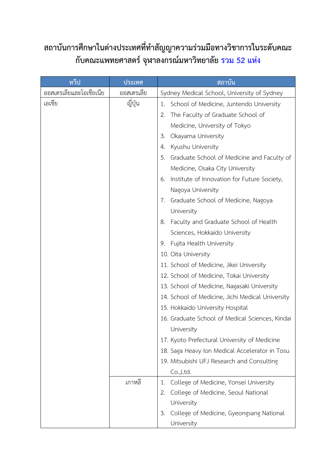## **สถาบันการศึกษาในต่างประเทศที่ทำสัญญาความร่วมมือทางวิชาการในระดับคณะ กับคณะแพทยศาสตร์ จุฬาลงกรณ์มหาวิทยาลัย รวม 52 แห่ง**

| ทวีป                    | ประเทศ         | สถาบัน                                            |
|-------------------------|----------------|---------------------------------------------------|
| ออสเตรเลียและโอเชียเนีย | ออสเตรเลีย     | Sydney Medical School, University of Sydney       |
| เอเชีย                  | ญี่ปุ่น        | School of Medicine, Juntendo University<br>1.     |
|                         |                | The Faculty of Graduate School of<br>2.           |
|                         |                | Medicine, University of Tokyo                     |
|                         |                | Okayama University<br>3.                          |
|                         |                | Kyushu University<br>4.                           |
|                         |                | Graduate School of Medicine and Faculty of<br>.5. |
|                         |                | Medicine, Osaka City University                   |
|                         |                | Institute of Innovation for Future Society,<br>6. |
|                         |                | Nagoya University                                 |
|                         |                | Graduate School of Medicine, Nagoya<br>7.         |
|                         |                | University                                        |
|                         |                | Faculty and Graduate School of Health<br>8.       |
|                         |                | Sciences, Hokkaido University                     |
|                         |                | Fujita Health University<br>9.                    |
|                         |                | 10. Oita University                               |
|                         |                | 11. School of Medicine, Jikei University          |
|                         |                | 12. School of Medicine, Tokai University          |
|                         |                | 13. School of Medicine, Nagasaki University       |
|                         |                | 14. School of Medicine, Jichi Medical University  |
|                         |                | 15. Hokkaido University Hospital                  |
|                         |                | 16. Graduate School of Medical Sciences, Kindai   |
|                         |                | University                                        |
|                         |                | 17. Kyoto Prefectural University of Medicine      |
|                         |                | 18. Saga Heavy Ion Medical Accelerator in Tosu    |
|                         |                | 19. Mitsubishi UFJ Research and Consulting        |
|                         |                | Co.,Ltd.                                          |
|                         | <i>เ</i> กาหลี | College of Medicine, Yonsei University<br>1.      |
|                         |                | College of Medicine, Seoul National<br>2.         |
|                         |                | University                                        |
|                         |                | College of Medicine, Gyeongsang National<br>3.    |
|                         |                | University                                        |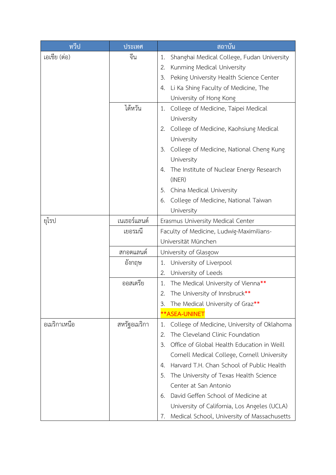| ทวีป         | ประเทศ       | <u>ิสถาบัน</u>                                    |
|--------------|--------------|---------------------------------------------------|
| เอเชีย (ต่อ) | จีน          | Shanghai Medical College, Fudan University<br>1.  |
|              |              | Kunming Medical University<br>2.                  |
|              |              | Peking University Health Science Center<br>3.     |
|              |              | Li Ka Shing Faculty of Medicine, The<br>4.        |
|              |              | University of Hong Kong                           |
|              | ไต้หวัน      | College of Medicine, Taipei Medical<br>1.         |
|              |              | University                                        |
|              |              | College of Medicine, Kaohsiung Medical<br>2.      |
|              |              | University                                        |
|              |              | College of Medicine, National Cheng Kung<br>3.    |
|              |              | University                                        |
|              |              | The Institute of Nuclear Energy Research<br>4.    |
|              |              | (INER)                                            |
|              |              | China Medical University<br>5.                    |
|              |              | College of Medicine, National Taiwan<br>6.        |
|              |              | University                                        |
| ยุโรป        | เนเธอร์แลนด์ | Erasmus University Medical Center                 |
|              | เยอรมนี      | Faculty of Medicine, Ludwig-Maximilians-          |
|              |              | Universität München                               |
|              | ิสกอตแลนด์   | University of Glasgow                             |
|              | อังกฤษ       | University of Liverpool<br>1.                     |
|              |              | University of Leeds<br>2.                         |
|              | ออสเตรีย     | The Medical University of Vienna**<br>1.          |
|              |              | The University of Innsbruck**                     |
|              |              | The Medical University of Graz**<br>3.            |
|              |              | **ASEA-UNINET                                     |
| อเมริกาเหนือ | สหรัฐอเมริกา | College of Medicine, University of Oklahoma<br>1. |
|              |              | The Cleveland Clinic Foundation<br>2.             |
|              |              | Office of Global Health Education in Weill<br>3.  |
|              |              | Cornell Medical College, Cornell University       |
|              |              | Harvard T.H. Chan School of Public Health<br>4.   |
|              |              | The University of Texas Health Science<br>5.      |
|              |              | Center at San Antonio                             |
|              |              | David Geffen School of Medicine at<br>6.          |
|              |              | University of California, Los Angeles (UCLA)      |
|              |              | Medical School, University of Massachusetts<br>7. |